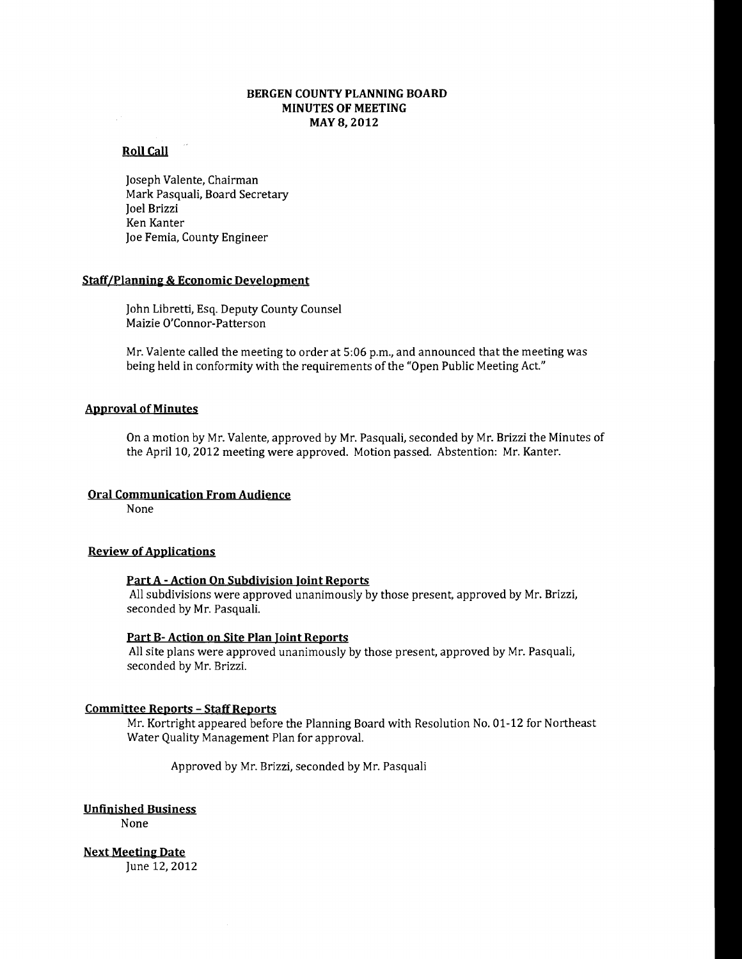# **BERGEN COUNTY PLANNING BOARD MINUTES OF MEETING MAY8,2012**

# **Roll Call**

Joseph Valente, Chairman Mark Pasquali, Board Secretary Joel Brizzi Ken Kanter Joe Femia, County Engineer

### **Staff/Plannjn& & Economic Development**

John Libretti, Esq. Deputy County Counsel Maizie O'Connor-Patterson

Mr. Valente called the meeting to order at 5:06 p.m., and announced that the meeting was being held in conformity with the requirements of the "Open Public Meeting Act"

# **Approval ofMinutes**

On a motion by Mr. Valente, approved by Mr. Pasquali, seconded by Mr. Brizzi the Minutes of the April 10, 2012 meeting were approved. Motion passed. Abstention: Mr. Kanter.

# **Oral Communication From Audience**

None

### **Review of Applications**

# **Part A - Action On Subdivision Joint Reports**

All subdivisions were approved unanimously by those present, approved by Mr. Brizzi, seconded by Mr. Pasquali.

## **Part B- Action on Site Plan Joint Reports**

All site plans were approved unanimously by those present, approved by Mr. Pasquali, seconded by Mr. Brizzi.

#### **Committee Reports - Staff Reports**

Mr. Kortright appeared before the Planning Board with Resolution No. 01-12 for Northeast Water Quality Management Plan for approval.

Approved by Mr. Brizzi, seconded by Mr. Pasquali

**Unfinished Business** 

None

**Next Meeting Date** June 12, 2012